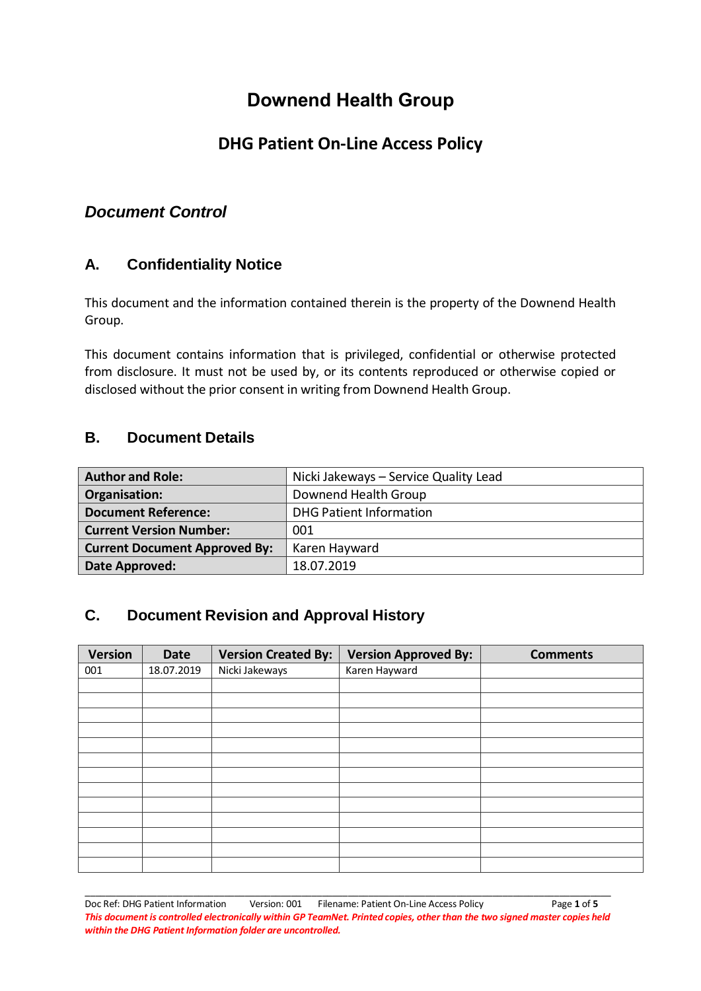# **Downend Health Group**

## **DHG Patient On-Line Access Policy**

## *Document Control*

### **A. Confidentiality Notice**

This document and the information contained therein is the property of the Downend Health Group.

This document contains information that is privileged, confidential or otherwise protected from disclosure. It must not be used by, or its contents reproduced or otherwise copied or disclosed without the prior consent in writing from Downend Health Group.

#### **B. Document Details**

| <b>Author and Role:</b>              | Nicki Jakeways - Service Quality Lead |  |
|--------------------------------------|---------------------------------------|--|
| Organisation:                        | Downend Health Group                  |  |
| <b>Document Reference:</b>           | <b>DHG Patient Information</b>        |  |
| <b>Current Version Number:</b>       | 001                                   |  |
| <b>Current Document Approved By:</b> | Karen Hayward                         |  |
| Date Approved:                       | 18.07.2019                            |  |

### **C. Document Revision and Approval History**

| <b>Version</b> | Date       | <b>Version Created By:</b> | <b>Version Approved By:</b> | <b>Comments</b> |
|----------------|------------|----------------------------|-----------------------------|-----------------|
| 001            | 18.07.2019 | Nicki Jakeways             | Karen Hayward               |                 |
|                |            |                            |                             |                 |
|                |            |                            |                             |                 |
|                |            |                            |                             |                 |
|                |            |                            |                             |                 |
|                |            |                            |                             |                 |
|                |            |                            |                             |                 |
|                |            |                            |                             |                 |
|                |            |                            |                             |                 |
|                |            |                            |                             |                 |
|                |            |                            |                             |                 |
|                |            |                            |                             |                 |
|                |            |                            |                             |                 |
|                |            |                            |                             |                 |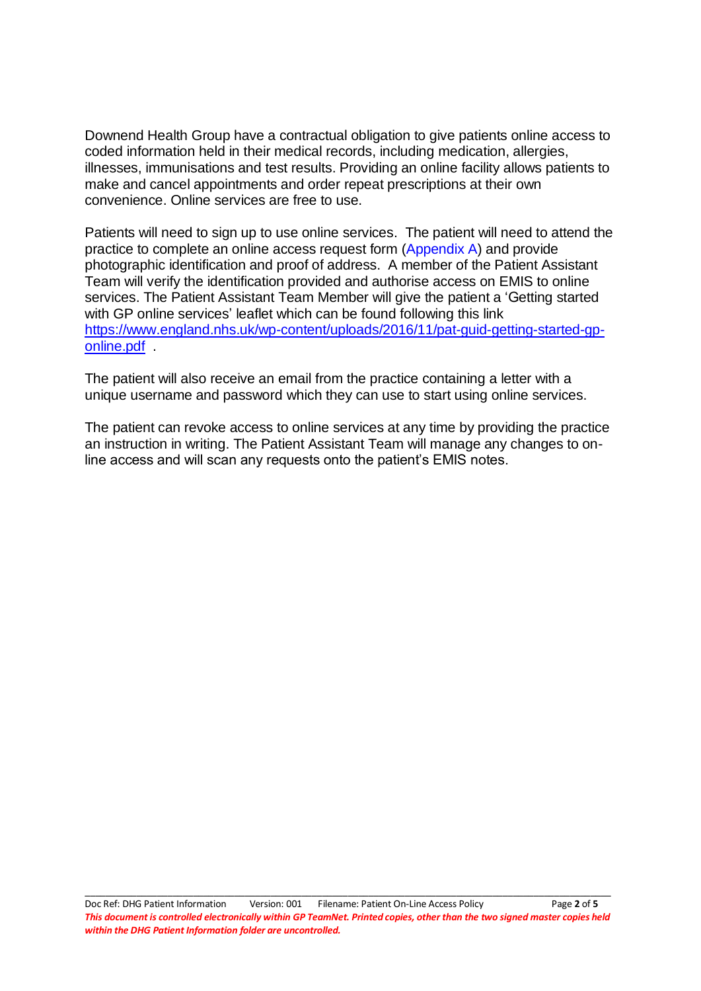Downend Health Group have a contractual obligation to give patients online access to coded information held in their medical records, including medication, allergies, illnesses, immunisations and test results. Providing an online facility allows patients to make and cancel appointments and order repeat prescriptions at their own convenience. Online services are free to use.

Patients will need to sign up to use online services. The patient will need to attend the practice to complete an online access request form (Appendix A) and provide photographic identification and proof of address. A member of the Patient Assistant Team will verify the identification provided and authorise access on EMIS to online services. The Patient Assistant Team Member will give the patient a 'Getting started with GP online services' leaflet which can be found following this link [https://www.england.nhs.uk/wp-content/uploads/2016/11/pat-guid-getting-started-gp](https://www.england.nhs.uk/wp-content/uploads/2016/11/pat-guid-getting-started-gp-online.pdf)[online.pdf](https://www.england.nhs.uk/wp-content/uploads/2016/11/pat-guid-getting-started-gp-online.pdf) .

The patient will also receive an email from the practice containing a letter with a unique username and password which they can use to start using online services.

The patient can revoke access to online services at any time by providing the practice an instruction in writing. The Patient Assistant Team will manage any changes to online access and will scan any requests onto the patient's EMIS notes.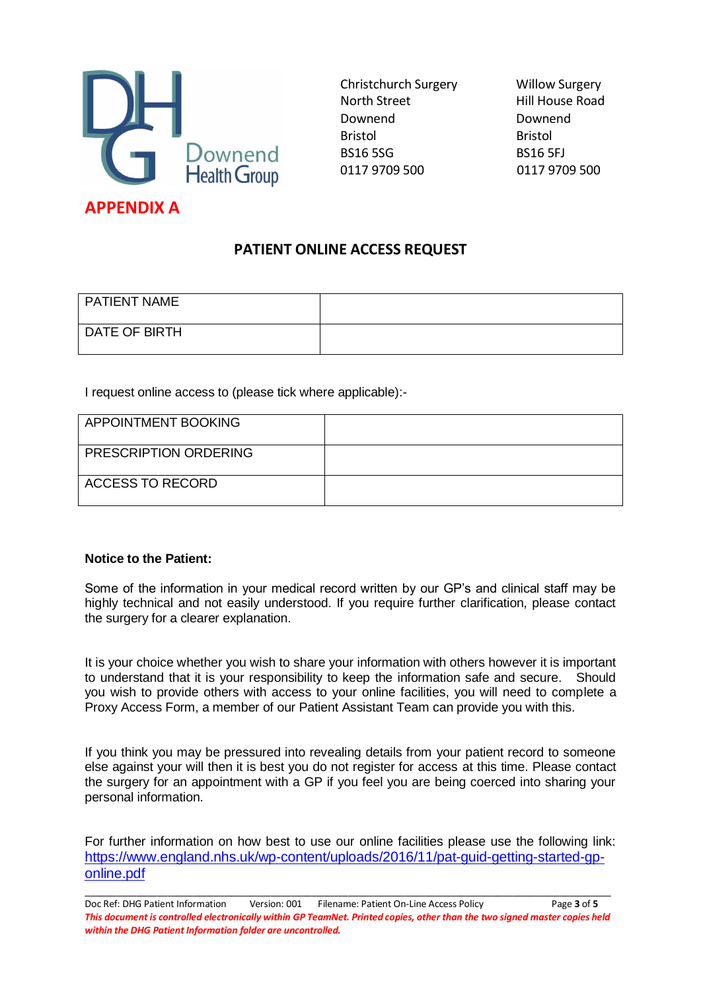

Christchurch Surgery Willow Surgery North Street **Hill House Road** Downend Downend Bristol Bristol BS16 5SG BS16 5FJ 0117 9709 500 0117 9709 500

### **PATIENT ONLINE ACCESS REQUEST**

| <b>PATIENT NAME</b> |  |
|---------------------|--|
| DATE OF BIRTH       |  |

I request online access to (please tick where applicable):-

| <b>APPOINTMENT BOOKING</b>   |  |
|------------------------------|--|
| <b>PRESCRIPTION ORDERING</b> |  |
| <b>ACCESS TO RECORD</b>      |  |

#### **Notice to the Patient:**

Some of the information in your medical record written by our GP's and clinical staff may be highly technical and not easily understood. If you require further clarification, please contact the surgery for a clearer explanation.

It is your choice whether you wish to share your information with others however it is important to understand that it is your responsibility to keep the information safe and secure. Should you wish to provide others with access to your online facilities, you will need to complete a Proxy Access Form, a member of our Patient Assistant Team can provide you with this.

If you think you may be pressured into revealing details from your patient record to someone else against your will then it is best you do not register for access at this time. Please contact the surgery for an appointment with a GP if you feel you are being coerced into sharing your personal information.

For further information on how best to use our online facilities please use the following link: [https://www.england.nhs.uk/wp-content/uploads/2016/11/pat-guid-getting-started-gp](https://www.england.nhs.uk/wp-content/uploads/2016/11/pat-guid-getting-started-gp-online.pdf)[online.pdf](https://www.england.nhs.uk/wp-content/uploads/2016/11/pat-guid-getting-started-gp-online.pdf)

Doc Ref: DHG Patient Information Version: 001 Filename: Patient On-Line Access Policy Page **3** of **5** *This document is controlled electronically within GP TeamNet. Printed copies, other than the two signed master copies held within the DHG Patient Information folder are uncontrolled.*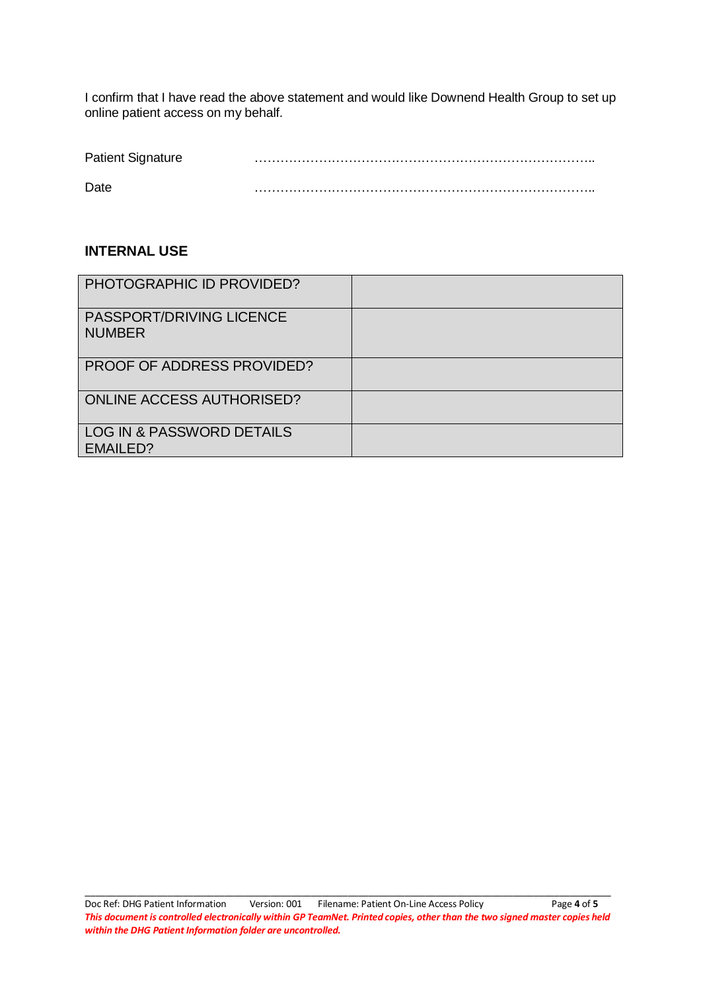I confirm that I have read the above statement and would like Downend Health Group to set up online patient access on my behalf.

| <b>Patient Signature</b> |  |
|--------------------------|--|
| Date                     |  |

#### **INTERNAL USE**

| PHOTOGRAPHIC ID PROVIDED?                    |  |
|----------------------------------------------|--|
| PASSPORT/DRIVING LICENCE<br><b>NUMBER</b>    |  |
| <b>PROOF OF ADDRESS PROVIDED?</b>            |  |
| <b>ONLINE ACCESS AUTHORISED?</b>             |  |
| LOG IN & PASSWORD DETAILS<br><b>EMAILED?</b> |  |